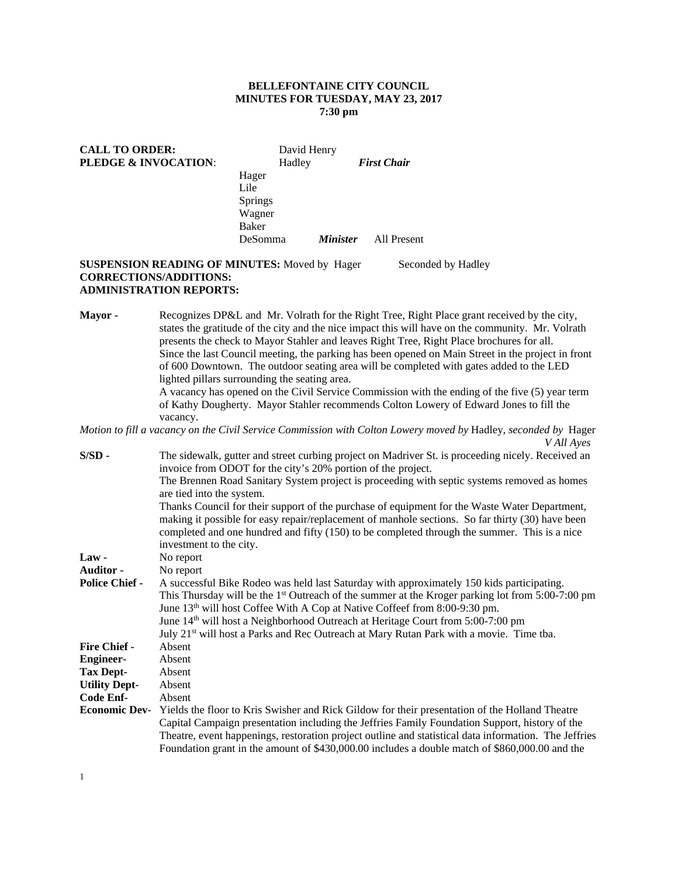# **BELLEFONTAINE CITY COUNCIL MINUTES FOR TUESDAY, MAY 23, 2017 7:30 pm**

| <b>CALL TO ORDER:</b><br><b>PLEDGE &amp; INVOCATION:</b> |                | David Henry<br>Hadley |                        | <b>First Chair</b> |  |
|----------------------------------------------------------|----------------|-----------------------|------------------------|--------------------|--|
|                                                          | Hager          |                       |                        |                    |  |
|                                                          | Lile           |                       |                        |                    |  |
|                                                          | <b>Springs</b> |                       |                        |                    |  |
|                                                          | Wagner         |                       |                        |                    |  |
|                                                          | Baker          |                       |                        |                    |  |
|                                                          | DeSomma        |                       | <i><b>Minister</b></i> | All Present        |  |

# **SUSPENSION READING OF MINUTES:** Moved by Hager Seconded by Hadley **CORRECTIONS/ADDITIONS: ADMINISTRATION REPORTS:**

**Mayor -** Recognizes DP&L and Mr. Volrath for the Right Tree, Right Place grant received by the city, states the gratitude of the city and the nice impact this will have on the community. Mr. Volrath presents the check to Mayor Stahler and leaves Right Tree, Right Place brochures for all. Since the last Council meeting, the parking has been opened on Main Street in the project in front of 600 Downtown. The outdoor seating area will be completed with gates added to the LED lighted pillars surrounding the seating area. A vacancy has opened on the Civil Service Commission with the ending of the five (5) year term of Kathy Dougherty. Mayor Stahler recommends Colton Lowery of Edward Jones to fill the vacancy.

# *Motion to fill a vacancy on the Civil Service Commission with Colton Lowery moved by* Hadley, *seconded by* Hager *V All Ayes*

| $S/SD$ -<br>The sidewalk, gutter and street curbing project on Madriver St. is proceeding nicely. Received an<br>invoice from ODOT for the city's 20% portion of the project.                                                                                                                     |  |
|---------------------------------------------------------------------------------------------------------------------------------------------------------------------------------------------------------------------------------------------------------------------------------------------------|--|
| The Brennen Road Sanitary System project is proceeding with septic systems removed as homes<br>are tied into the system.                                                                                                                                                                          |  |
| Thanks Council for their support of the purchase of equipment for the Waste Water Department,<br>making it possible for easy repair/replacement of manhole sections. So far thirty (30) have been<br>completed and one hundred and fifty (150) to be completed through the summer. This is a nice |  |
| investment to the city.                                                                                                                                                                                                                                                                           |  |
| $Law -$<br>No report                                                                                                                                                                                                                                                                              |  |
| Auditor -<br>No report                                                                                                                                                                                                                                                                            |  |
| <b>Police Chief -</b><br>A successful Bike Rodeo was held last Saturday with approximately 150 kids participating.                                                                                                                                                                                |  |
| This Thursday will be the 1 <sup>st</sup> Outreach of the summer at the Kroger parking lot from 5:00-7:00 pm                                                                                                                                                                                      |  |
| June 13 <sup>th</sup> will host Coffee With A Cop at Native Coffeef from 8:00-9:30 pm.                                                                                                                                                                                                            |  |
| June 14 <sup>th</sup> will host a Neighborhood Outreach at Heritage Court from 5:00-7:00 pm                                                                                                                                                                                                       |  |
| July 21 <sup>st</sup> will host a Parks and Rec Outreach at Mary Rutan Park with a movie. Time tba.                                                                                                                                                                                               |  |
| <b>Fire Chief -</b><br>Absent                                                                                                                                                                                                                                                                     |  |
| <b>Engineer-</b><br>Absent                                                                                                                                                                                                                                                                        |  |
| <b>Tax Dept-</b><br>Absent                                                                                                                                                                                                                                                                        |  |
| <b>Utility Dept-</b><br>Absent                                                                                                                                                                                                                                                                    |  |
| Code Enf-<br>Absent                                                                                                                                                                                                                                                                               |  |
| <b>Economic Dev-</b> Yields the floor to Kris Swisher and Rick Gildow for their presentation of the Holland Theatre                                                                                                                                                                               |  |
| Capital Campaign presentation including the Jeffries Family Foundation Support, history of the                                                                                                                                                                                                    |  |
| Theatre, event happenings, restoration project outline and statistical data information. The Jeffries                                                                                                                                                                                             |  |
| Foundation grant in the amount of \$430,000.00 includes a double match of \$860,000.00 and the                                                                                                                                                                                                    |  |

1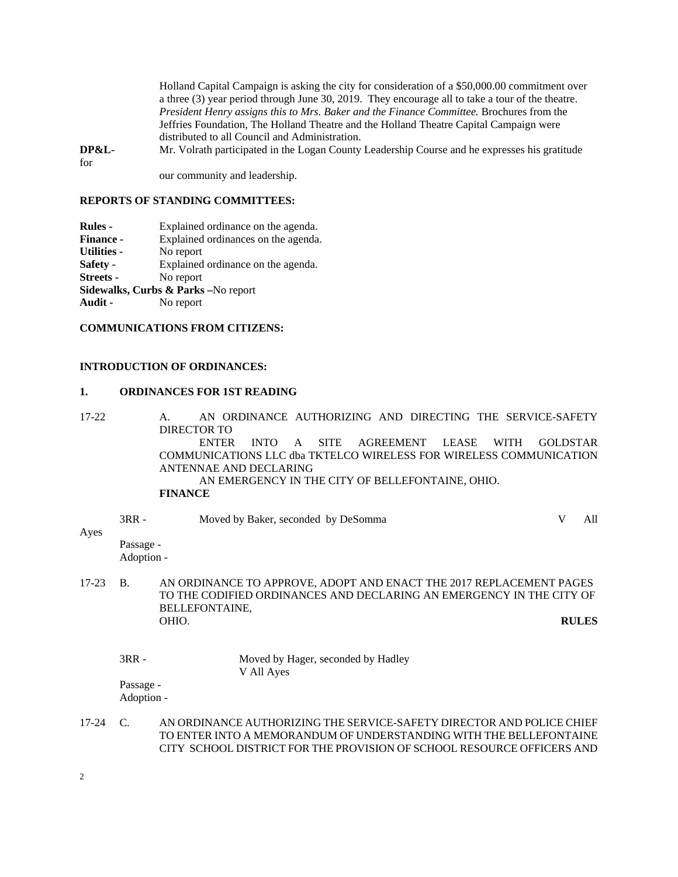Holland Capital Campaign is asking the city for consideration of a \$50,000.00 commitment over a three (3) year period through June 30, 2019. They encourage all to take a tour of the theatre. *President Henry assigns this to Mrs. Baker and the Finance Committee.* Brochures from the Jeffries Foundation, The Holland Theatre and the Holland Theatre Capital Campaign were distributed to all Council and Administration.

**DP&L-** Mr. Volrath participated in the Logan County Leadership Course and he expresses his gratitude for

our community and leadership.

### **REPORTS OF STANDING COMMITTEES:**

**Rules -** Explained ordinance on the agenda. **Finance -** Explained ordinances on the agenda. Utilities - No report **Safety -** Explained ordinance on the agenda. **Streets -** No report **Sidewalks, Curbs & Parks –**No report

**Audit -** No report

# **COMMUNICATIONS FROM CITIZENS:**

# **INTRODUCTION OF ORDINANCES:**

#### **1. ORDINANCES FOR 1ST READING**

17-22 A. AN ORDINANCE AUTHORIZING AND DIRECTING THE SERVICE-SAFETY DIRECTOR TO ENTER INTO A SITE AGREEMENT LEASE WITH GOLDSTAR COMMUNICATIONS LLC dba TKTELCO WIRELESS FOR WIRELESS COMMUNICATION ANTENNAE AND DECLARING AN EMERGENCY IN THE CITY OF BELLEFONTAINE, OHIO. **FINANCE** 

3RR - Moved by Baker, seconded by DeSomma V All Ayes Passage -

Adoption -

- 17-23 B. AN ORDINANCE TO APPROVE, ADOPT AND ENACT THE 2017 REPLACEMENT PAGES TO THE CODIFIED ORDINANCES AND DECLARING AN EMERGENCY IN THE CITY OF BELLEFONTAINE, OHIO. **RULES**
	- 3RR Moved by Hager, seconded by Hadley V All Ayes

Passage - Adoption -

17-24 C. AN ORDINANCE AUTHORIZING THE SERVICE-SAFETY DIRECTOR AND POLICE CHIEF TO ENTER INTO A MEMORANDUM OF UNDERSTANDING WITH THE BELLEFONTAINE CITY SCHOOL DISTRICT FOR THE PROVISION OF SCHOOL RESOURCE OFFICERS AND

2